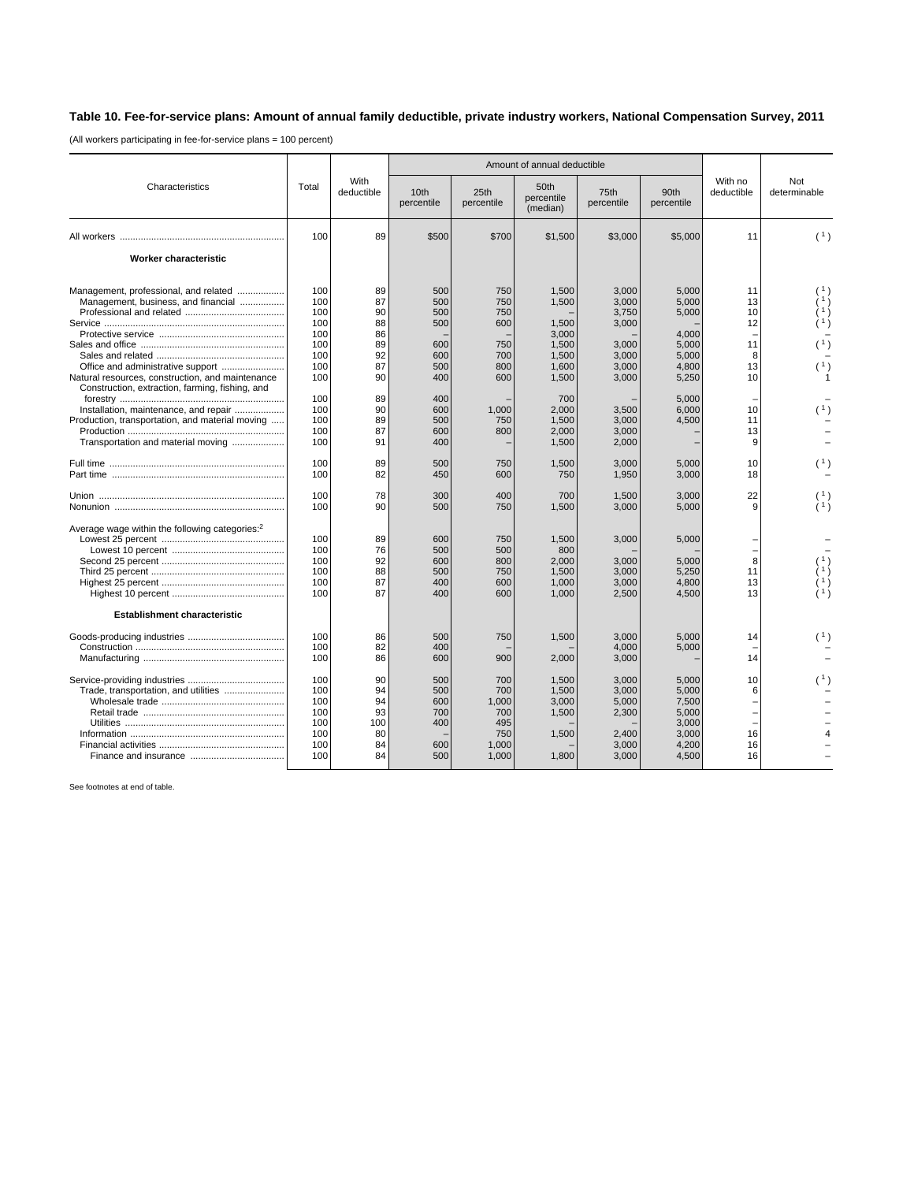## **Table 10. Fee-for-service plans: Amount of annual family deductible, private industry workers, National Compensation Survey, 2011**

(All workers participating in fee-for-service plans = 100 percent)

|                                                                                                                                                                                   | Total                                                       | With<br>deductible                                 | Amount of annual deductible                          |                                                            |                                                                      |                                                                      |                                                                      |                                             |                                             |
|-----------------------------------------------------------------------------------------------------------------------------------------------------------------------------------|-------------------------------------------------------------|----------------------------------------------------|------------------------------------------------------|------------------------------------------------------------|----------------------------------------------------------------------|----------------------------------------------------------------------|----------------------------------------------------------------------|---------------------------------------------|---------------------------------------------|
| Characteristics                                                                                                                                                                   |                                                             |                                                    | 10th<br>percentile                                   | 25th<br>percentile                                         | 50th<br>percentile<br>(median)                                       | 75th<br>percentile                                                   | 90th<br>percentile                                                   | With no<br>deductible                       | Not<br>determinable                         |
|                                                                                                                                                                                   | 100                                                         | 89                                                 | \$500                                                | \$700                                                      | \$1,500                                                              | \$3,000                                                              | \$5,000                                                              | 11                                          | (1)                                         |
| Worker characteristic                                                                                                                                                             |                                                             |                                                    |                                                      |                                                            |                                                                      |                                                                      |                                                                      |                                             |                                             |
| Management, professional, and related<br>Management, business, and financial<br>Natural resources, construction, and maintenance                                                  | 100<br>100<br>100<br>100<br>100<br>100<br>100<br>100<br>100 | 89<br>87<br>90<br>88<br>86<br>89<br>92<br>87<br>90 | 500<br>500<br>500<br>500<br>600<br>600<br>500<br>400 | 750<br>750<br>750<br>600<br>750<br>700<br>800<br>600       | 1,500<br>1,500<br>1,500<br>3,000<br>1,500<br>1.500<br>1,600<br>1,500 | 3,000<br>3,000<br>3,750<br>3,000<br>3,000<br>3.000<br>3,000<br>3,000 | 5,000<br>5,000<br>5,000<br>4,000<br>5,000<br>5.000<br>4,800<br>5,250 | 11<br>13<br>10<br>12<br>11<br>8<br>13<br>10 | (1)<br>(1)                                  |
| Construction, extraction, farming, fishing, and<br>Installation, maintenance, and repair<br>Production, transportation, and material moving<br>Transportation and material moving | 100<br>100<br>100<br>100<br>100                             | 89<br>90<br>89<br>87<br>91                         | 400<br>600<br>500<br>600<br>400                      | 1,000<br>750<br>800                                        | 700<br>2,000<br>1,500<br>2,000<br>1,500                              | 3,500<br>3,000<br>3,000<br>2,000                                     | 5.000<br>6,000<br>4,500                                              | 10<br>11<br>13<br>9                         |                                             |
|                                                                                                                                                                                   | 100<br>100                                                  | 89<br>82                                           | 500<br>450                                           | 750<br>600                                                 | 1,500<br>750                                                         | 3,000<br>1,950                                                       | 5,000<br>3,000                                                       | 10<br>18                                    | (1)                                         |
|                                                                                                                                                                                   | 100<br>100                                                  | 78<br>90                                           | 300<br>500                                           | 400<br>750                                                 | 700<br>1,500                                                         | 1,500<br>3,000                                                       | 3,000<br>5,000                                                       | 22<br>9                                     |                                             |
| Average wage within the following categories: <sup>2</sup>                                                                                                                        | 100<br>100<br>100<br>100<br>100<br>100                      | 89<br>76<br>92<br>88<br>87<br>87                   | 600<br>500<br>600<br>500<br>400<br>400               | 750<br>500<br>800<br>750<br>600<br>600                     | 1,500<br>800<br>2.000<br>1,500<br>1,000<br>1,000                     | 3,000<br>3.000<br>3,000<br>3,000<br>2,500                            | 5,000<br>5.000<br>5,250<br>4,800<br>4,500                            | 8<br>11<br>13<br>13                         | $\begin{pmatrix} 1 \\ 1 \\ 1 \end{pmatrix}$ |
| <b>Establishment characteristic</b>                                                                                                                                               |                                                             |                                                    |                                                      |                                                            |                                                                      |                                                                      |                                                                      |                                             |                                             |
|                                                                                                                                                                                   | 100<br>100<br>100                                           | 86<br>82<br>86                                     | 500<br>400<br>600                                    | 750<br>900                                                 | 1,500<br>2,000                                                       | 3.000<br>4.000<br>3,000                                              | 5.000<br>5,000                                                       | 14<br>14                                    | (1)                                         |
| Trade, transportation, and utilities                                                                                                                                              | 100<br>100<br>100<br>100<br>100<br>100<br>100<br>100        | 90<br>94<br>94<br>93<br>100<br>80<br>84<br>84      | 500<br>500<br>600<br>700<br>400<br>600<br>500        | 700<br>700<br>1,000<br>700<br>495<br>750<br>1,000<br>1,000 | 1.500<br>1.500<br>3,000<br>1,500<br>1,500<br>1,800                   | 3,000<br>3.000<br>5,000<br>2,300<br>2,400<br>3,000<br>3,000          | 5,000<br>5.000<br>7,500<br>5,000<br>3,000<br>3,000<br>4,200<br>4,500 | 10<br>6<br>÷<br>16<br>16<br>16              | (1)                                         |

See footnotes at end of table.